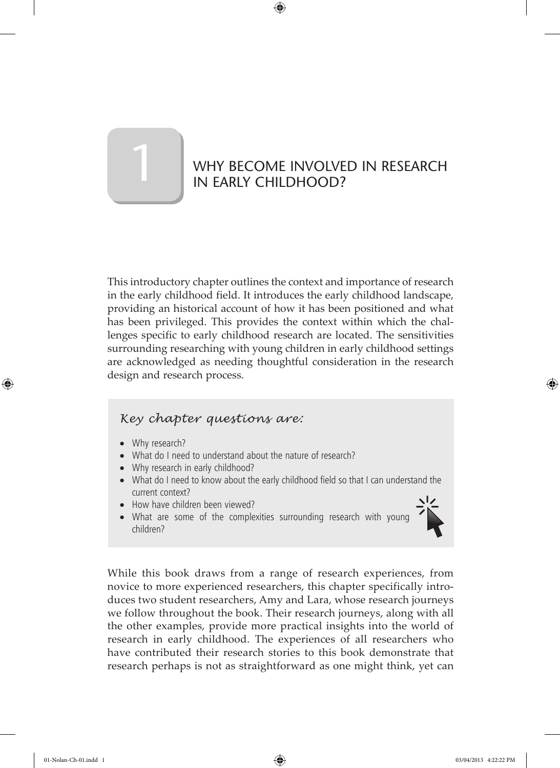# WHY BECOME INVOLVED IN RESEARCH<br>IN EARLY CHILDHOOD?

This introductory chapter outlines the context and importance of research in the early childhood field. It introduces the early childhood landscape, providing an historical account of how it has been positioned and what has been privileged. This provides the context within which the challenges specific to early childhood research are located. The sensitivities surrounding researching with young children in early childhood settings are acknowledged as needing thoughtful consideration in the research design and research process.

 $\bigoplus$ 

# *Key chapter questions are:*

- Why research?
- What do I need to understand about the nature of research?
- Why research in early childhood?
- What do I need to know about the early childhood field so that I can understand the current context?
- How have children been viewed?
- What are some of the complexities surrounding research with young children?

While this book draws from a range of research experiences, from novice to more experienced researchers, this chapter specifically introduces two student researchers, Amy and Lara, whose research journeys we follow throughout the book. Their research journeys, along with all the other examples, provide more practical insights into the world of research in early childhood. The experiences of all researchers who have contributed their research stories to this book demonstrate that research perhaps is not as straightforward as one might think, yet can

⊕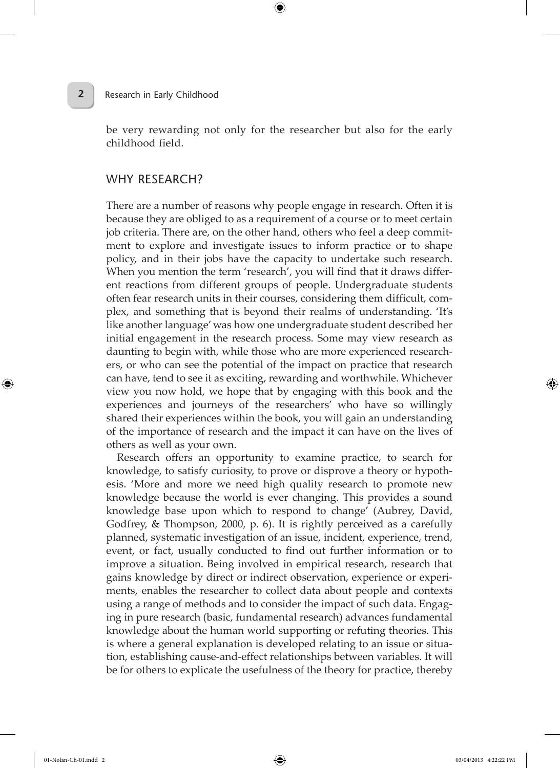be very rewarding not only for the researcher but also for the early childhood field.

⊕

## WHY RESEARCH?

There are a number of reasons why people engage in research. Often it is because they are obliged to as a requirement of a course or to meet certain job criteria. There are, on the other hand, others who feel a deep commitment to explore and investigate issues to inform practice or to shape policy, and in their jobs have the capacity to undertake such research. When you mention the term 'research', you will find that it draws different reactions from different groups of people. Undergraduate students often fear research units in their courses, considering them difficult, complex, and something that is beyond their realms of understanding. 'It's like another language' was how one undergraduate student described her initial engagement in the research process. Some may view research as daunting to begin with, while those who are more experienced researchers, or who can see the potential of the impact on practice that research can have, tend to see it as exciting, rewarding and worthwhile. Whichever view you now hold, we hope that by engaging with this book and the experiences and journeys of the researchers' who have so willingly shared their experiences within the book, you will gain an understanding of the importance of research and the impact it can have on the lives of others as well as your own.

Research offers an opportunity to examine practice, to search for knowledge, to satisfy curiosity, to prove or disprove a theory or hypothesis. 'More and more we need high quality research to promote new knowledge because the world is ever changing. This provides a sound knowledge base upon which to respond to change' (Aubrey, David, Godfrey, & Thompson, 2000, p. 6). It is rightly perceived as a carefully planned, systematic investigation of an issue, incident, experience, trend, event, or fact, usually conducted to find out further information or to improve a situation. Being involved in empirical research, research that gains knowledge by direct or indirect observation, experience or experiments, enables the researcher to collect data about people and contexts using a range of methods and to consider the impact of such data. Engaging in pure research (basic, fundamental research) advances fundamental knowledge about the human world supporting or refuting theories. This is where a general explanation is developed relating to an issue or situation, establishing cause-and-effect relationships between variables. It will be for others to explicate the usefulness of the theory for practice, thereby

⊕

 $\Leftrightarrow$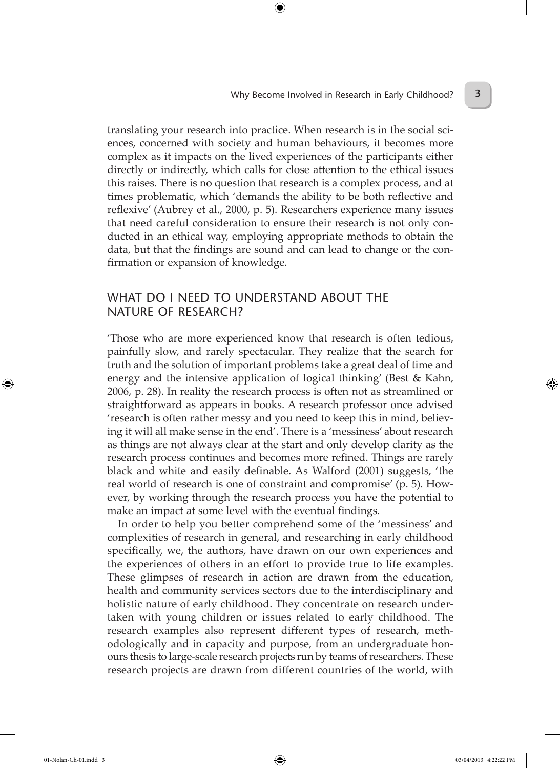translating your research into practice. When research is in the social sciences, concerned with society and human behaviours, it becomes more complex as it impacts on the lived experiences of the participants either directly or indirectly, which calls for close attention to the ethical issues this raises. There is no question that research is a complex process, and at times problematic, which 'demands the ability to be both reflective and reflexive' (Aubrey et al., 2000, p. 5). Researchers experience many issues that need careful consideration to ensure their research is not only conducted in an ethical way, employing appropriate methods to obtain the data, but that the findings are sound and can lead to change or the confirmation or expansion of knowledge.

⊕

# WHAT DO I NEED TO UNDERSTAND ABOUT THE NATURE OF RESEARCH?

'Those who are more experienced know that research is often tedious, painfully slow, and rarely spectacular. They realize that the search for truth and the solution of important problems take a great deal of time and energy and the intensive application of logical thinking' (Best & Kahn, 2006, p. 28). In reality the research process is often not as streamlined or straightforward as appears in books. A research professor once advised 'research is often rather messy and you need to keep this in mind, believing it will all make sense in the end'. There is a 'messiness' about research as things are not always clear at the start and only develop clarity as the research process continues and becomes more refined. Things are rarely black and white and easily definable. As Walford (2001) suggests, 'the real world of research is one of constraint and compromise' (p. 5). However, by working through the research process you have the potential to make an impact at some level with the eventual findings.

In order to help you better comprehend some of the 'messiness' and complexities of research in general, and researching in early childhood specifically, we, the authors, have drawn on our own experiences and the experiences of others in an effort to provide true to life examples. These glimpses of research in action are drawn from the education, health and community services sectors due to the interdisciplinary and holistic nature of early childhood. They concentrate on research undertaken with young children or issues related to early childhood. The research examples also represent different types of research, methodologically and in capacity and purpose, from an undergraduate honours thesis to large-scale research projects run by teams of researchers. These research projects are drawn from different countries of the world, with

 $\Leftrightarrow$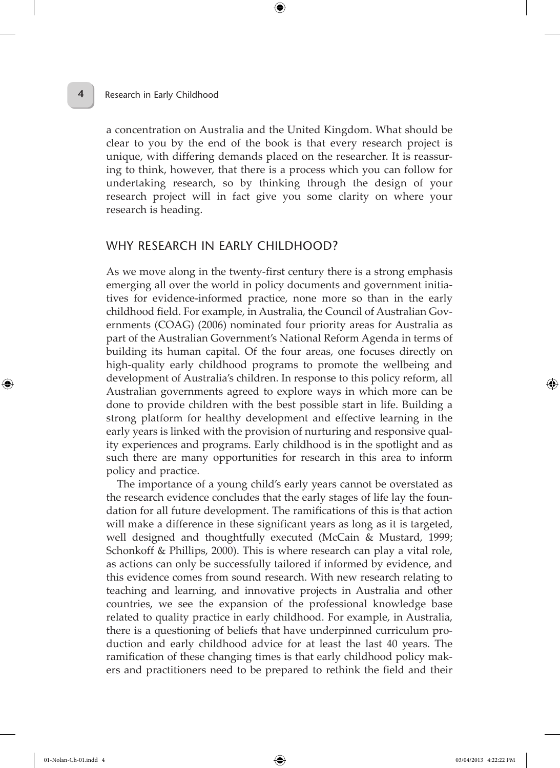a concentration on Australia and the United Kingdom. What should be clear to you by the end of the book is that every research project is unique, with differing demands placed on the researcher. It is reassuring to think, however, that there is a process which you can follow for undertaking research, so by thinking through the design of your research project will in fact give you some clarity on where your research is heading.

⊕

# WHY RESEARCH IN FARLY CHILDHOOD?

As we move along in the twenty-first century there is a strong emphasis emerging all over the world in policy documents and government initiatives for evidence-informed practice, none more so than in the early childhood field. For example, in Australia, the Council of Australian Governments (COAG) (2006) nominated four priority areas for Australia as part of the Australian Government's National Reform Agenda in terms of building its human capital. Of the four areas, one focuses directly on high-quality early childhood programs to promote the wellbeing and development of Australia's children. In response to this policy reform, all Australian governments agreed to explore ways in which more can be done to provide children with the best possible start in life. Building a strong platform for healthy development and effective learning in the early years is linked with the provision of nurturing and responsive quality experiences and programs. Early childhood is in the spotlight and as such there are many opportunities for research in this area to inform policy and practice.

The importance of a young child's early years cannot be overstated as the research evidence concludes that the early stages of life lay the foundation for all future development. The ramifications of this is that action will make a difference in these significant years as long as it is targeted, well designed and thoughtfully executed (McCain & Mustard, 1999; Schonkoff & Phillips, 2000). This is where research can play a vital role, as actions can only be successfully tailored if informed by evidence, and this evidence comes from sound research. With new research relating to teaching and learning, and innovative projects in Australia and other countries, we see the expansion of the professional knowledge base related to quality practice in early childhood. For example, in Australia, there is a questioning of beliefs that have underpinned curriculum production and early childhood advice for at least the last 40 years. The ramification of these changing times is that early childhood policy makers and practitioners need to be prepared to rethink the field and their

⊕

 $\Leftrightarrow$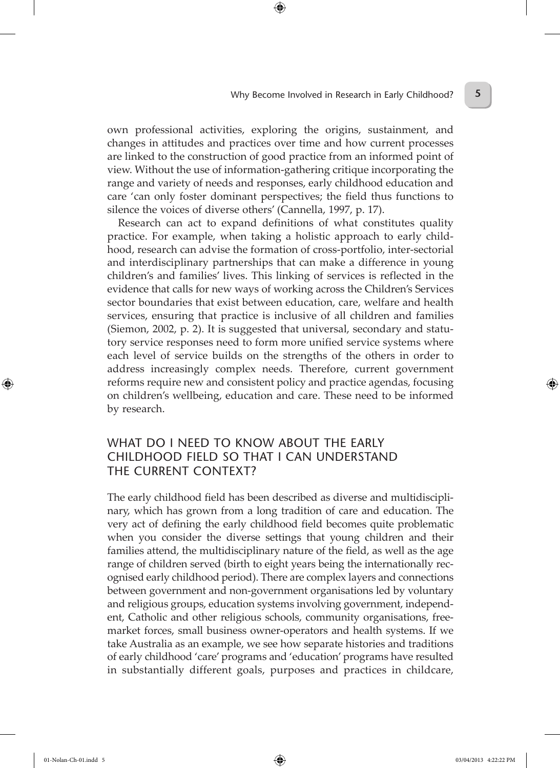own professional activities, exploring the origins, sustainment, and changes in attitudes and practices over time and how current processes are linked to the construction of good practice from an informed point of view. Without the use of information-gathering critique incorporating the range and variety of needs and responses, early childhood education and care 'can only foster dominant perspectives; the field thus functions to silence the voices of diverse others' (Cannella, 1997, p. 17).

⊕

Research can act to expand definitions of what constitutes quality practice. For example, when taking a holistic approach to early childhood, research can advise the formation of cross-portfolio, inter-sectorial and interdisciplinary partnerships that can make a difference in young children's and families' lives. This linking of services is reflected in the evidence that calls for new ways of working across the Children's Services sector boundaries that exist between education, care, welfare and health services, ensuring that practice is inclusive of all children and families (Siemon, 2002, p. 2). It is suggested that universal, secondary and statutory service responses need to form more unified service systems where each level of service builds on the strengths of the others in order to address increasingly complex needs. Therefore, current government reforms require new and consistent policy and practice agendas, focusing on children's wellbeing, education and care. These need to be informed by research.

# WHAT DO I NEED TO KNOW ABOUT THE EARLY CHILDHOOD FIELD SO THAT I CAN UNDERSTAND THE CURRENT CONTEXT?

The early childhood field has been described as diverse and multidisciplinary, which has grown from a long tradition of care and education. The very act of defining the early childhood field becomes quite problematic when you consider the diverse settings that young children and their families attend, the multidisciplinary nature of the field, as well as the age range of children served (birth to eight years being the internationally recognised early childhood period). There are complex layers and connections between government and non-government organisations led by voluntary and religious groups, education systems involving government, independent, Catholic and other religious schools, community organisations, freemarket forces, small business owner-operators and health systems. If we take Australia as an example, we see how separate histories and traditions of early childhood 'care' programs and 'education' programs have resulted in substantially different goals, purposes and practices in childcare,

 $\Leftrightarrow$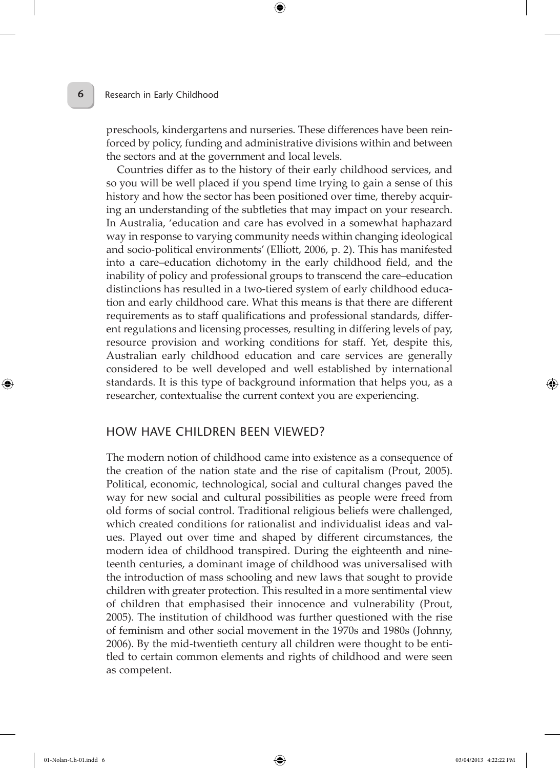preschools, kindergartens and nurseries. These differences have been reinforced by policy, funding and administrative divisions within and between the sectors and at the government and local levels.

⊕

Countries differ as to the history of their early childhood services, and so you will be well placed if you spend time trying to gain a sense of this history and how the sector has been positioned over time, thereby acquiring an understanding of the subtleties that may impact on your research. In Australia, 'education and care has evolved in a somewhat haphazard way in response to varying community needs within changing ideological and socio-political environments' (Elliott, 2006, p. 2). This has manifested into a care–education dichotomy in the early childhood field, and the inability of policy and professional groups to transcend the care–education distinctions has resulted in a two-tiered system of early childhood education and early childhood care. What this means is that there are different requirements as to staff qualifications and professional standards, different regulations and licensing processes, resulting in differing levels of pay, resource provision and working conditions for staff. Yet, despite this, Australian early childhood education and care services are generally considered to be well developed and well established by international standards. It is this type of background information that helps you, as a researcher, contextualise the current context you are experiencing.

# HOW HAVE CHILDREN BEEN VIEWED?

The modern notion of childhood came into existence as a consequence of the creation of the nation state and the rise of capitalism (Prout, 2005). Political, economic, technological, social and cultural changes paved the way for new social and cultural possibilities as people were freed from old forms of social control. Traditional religious beliefs were challenged, which created conditions for rationalist and individualist ideas and values. Played out over time and shaped by different circumstances, the modern idea of childhood transpired. During the eighteenth and nineteenth centuries, a dominant image of childhood was universalised with the introduction of mass schooling and new laws that sought to provide children with greater protection. This resulted in a more sentimental view of children that emphasised their innocence and vulnerability (Prout, 2005). The institution of childhood was further questioned with the rise of feminism and other social movement in the 1970s and 1980s (Johnny, 2006). By the mid-twentieth century all children were thought to be entitled to certain common elements and rights of childhood and were seen as competent.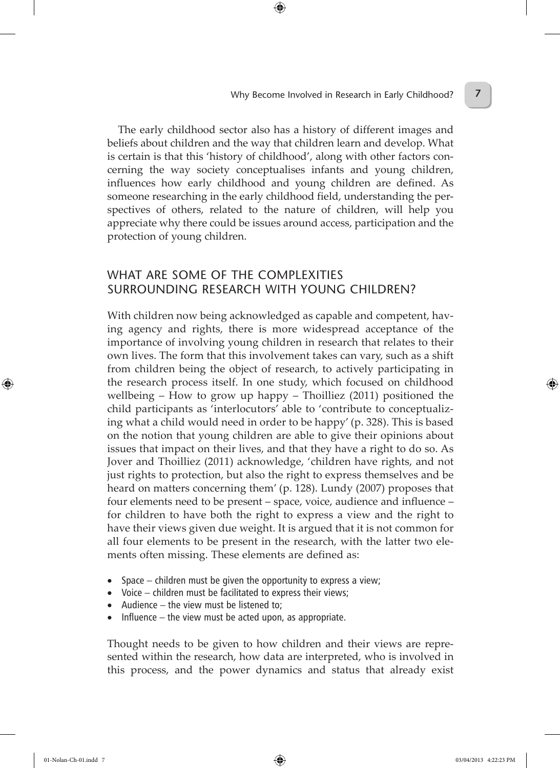## Why Become Involved in Research in Early Childhood? **7**

The early childhood sector also has a history of different images and beliefs about children and the way that children learn and develop. What is certain is that this 'history of childhood', along with other factors concerning the way society conceptualises infants and young children, influences how early childhood and young children are defined. As someone researching in the early childhood field, understanding the perspectives of others, related to the nature of children, will help you appreciate why there could be issues around access, participation and the protection of young children.

 $\textcircled{\scriptsize{*}}$ 

# WHAT ARE SOME OF THE COMPLEXITIES SURROUNDING RESEARCH WITH YOUNG CHILDREN?

With children now being acknowledged as capable and competent, having agency and rights, there is more widespread acceptance of the importance of involving young children in research that relates to their own lives. The form that this involvement takes can vary, such as a shift from children being the object of research, to actively participating in the research process itself. In one study, which focused on childhood wellbeing – How to grow up happy – Thoilliez (2011) positioned the child participants as 'interlocutors' able to 'contribute to conceptualizing what a child would need in order to be happy' (p. 328). This is based on the notion that young children are able to give their opinions about issues that impact on their lives, and that they have a right to do so. As Jover and Thoilliez (2011) acknowledge, 'children have rights, and not just rights to protection, but also the right to express themselves and be heard on matters concerning them' (p. 128). Lundy (2007) proposes that four elements need to be present – space, voice, audience and influence – for children to have both the right to express a view and the right to have their views given due weight. It is argued that it is not common for all four elements to be present in the research, with the latter two elements often missing. These elements are defined as:

- Space children must be given the opportunity to express a view;
- Voice children must be facilitated to express their views;
- Audience the view must be listened to;
- Influence the view must be acted upon, as appropriate.

Thought needs to be given to how children and their views are represented within the research, how data are interpreted, who is involved in this process, and the power dynamics and status that already exist

⊕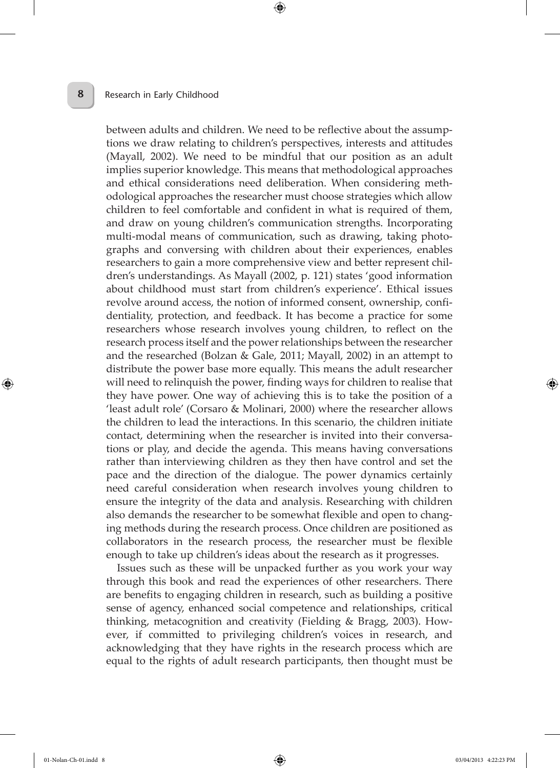between adults and children. We need to be reflective about the assumptions we draw relating to children's perspectives, interests and attitudes (Mayall, 2002). We need to be mindful that our position as an adult implies superior knowledge. This means that methodological approaches and ethical considerations need deliberation. When considering methodological approaches the researcher must choose strategies which allow children to feel comfortable and confident in what is required of them, and draw on young children's communication strengths. Incorporating multi-modal means of communication, such as drawing, taking photographs and conversing with children about their experiences, enables researchers to gain a more comprehensive view and better represent children's understandings. As Mayall (2002, p. 121) states 'good information about childhood must start from children's experience'. Ethical issues revolve around access, the notion of informed consent, ownership, confidentiality, protection, and feedback. It has become a practice for some researchers whose research involves young children, to reflect on the research process itself and the power relationships between the researcher and the researched (Bolzan & Gale, 2011; Mayall, 2002) in an attempt to distribute the power base more equally. This means the adult researcher will need to relinquish the power, finding ways for children to realise that they have power. One way of achieving this is to take the position of a 'least adult role' (Corsaro & Molinari, 2000) where the researcher allows the children to lead the interactions. In this scenario, the children initiate contact, determining when the researcher is invited into their conversations or play, and decide the agenda. This means having conversations rather than interviewing children as they then have control and set the pace and the direction of the dialogue. The power dynamics certainly need careful consideration when research involves young children to ensure the integrity of the data and analysis. Researching with children also demands the researcher to be somewhat flexible and open to changing methods during the research process. Once children are positioned as collaborators in the research process, the researcher must be flexible enough to take up children's ideas about the research as it progresses.

⊕

Issues such as these will be unpacked further as you work your way through this book and read the experiences of other researchers. There are benefits to engaging children in research, such as building a positive sense of agency, enhanced social competence and relationships, critical thinking, metacognition and creativity (Fielding & Bragg, 2003). However, if committed to privileging children's voices in research, and acknowledging that they have rights in the research process which are equal to the rights of adult research participants, then thought must be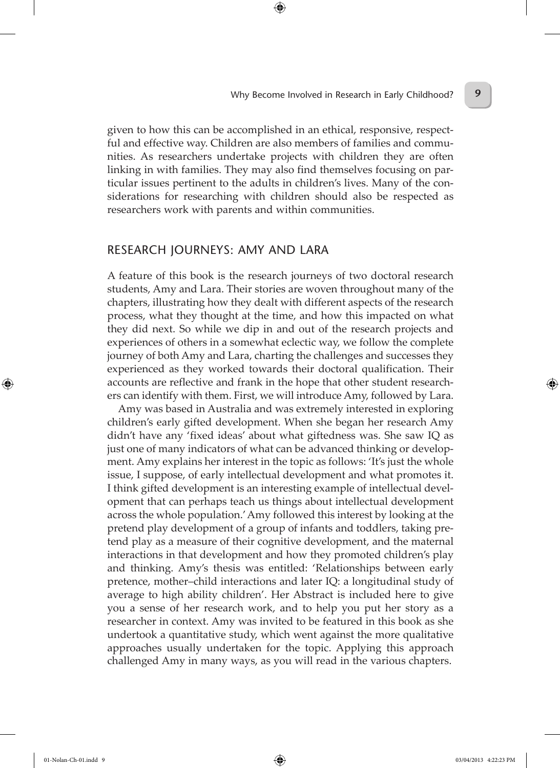given to how this can be accomplished in an ethical, responsive, respectful and effective way. Children are also members of families and communities. As researchers undertake projects with children they are often linking in with families. They may also find themselves focusing on particular issues pertinent to the adults in children's lives. Many of the considerations for researching with children should also be respected as researchers work with parents and within communities.

⊕

## RESEARCH JOURNEYS: AMY AND LARA

A feature of this book is the research journeys of two doctoral research students, Amy and Lara. Their stories are woven throughout many of the chapters, illustrating how they dealt with different aspects of the research process, what they thought at the time, and how this impacted on what they did next. So while we dip in and out of the research projects and experiences of others in a somewhat eclectic way, we follow the complete journey of both Amy and Lara, charting the challenges and successes they experienced as they worked towards their doctoral qualification. Their accounts are reflective and frank in the hope that other student researchers can identify with them. First, we will introduce Amy, followed by Lara.

Amy was based in Australia and was extremely interested in exploring children's early gifted development. When she began her research Amy didn't have any 'fixed ideas' about what giftedness was. She saw IQ as just one of many indicators of what can be advanced thinking or development. Amy explains her interest in the topic as follows: 'It's just the whole issue, I suppose, of early intellectual development and what promotes it. I think gifted development is an interesting example of intellectual development that can perhaps teach us things about intellectual development across the whole population.' Amy followed this interest by looking at the pretend play development of a group of infants and toddlers, taking pretend play as a measure of their cognitive development, and the maternal interactions in that development and how they promoted children's play and thinking. Amy's thesis was entitled: 'Relationships between early pretence, mother–child interactions and later IQ: a longitudinal study of average to high ability children'. Her Abstract is included here to give you a sense of her research work, and to help you put her story as a researcher in context. Amy was invited to be featured in this book as she undertook a quantitative study, which went against the more qualitative approaches usually undertaken for the topic. Applying this approach challenged Amy in many ways, as you will read in the various chapters.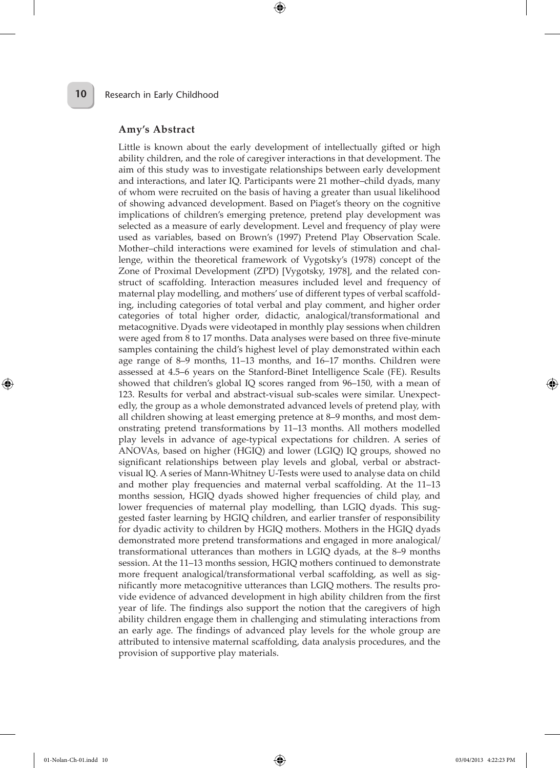#### **Amy's Abstract**

Little is known about the early development of intellectually gifted or high ability children, and the role of caregiver interactions in that development. The aim of this study was to investigate relationships between early development and interactions, and later IQ. Participants were 21 mother–child dyads, many of whom were recruited on the basis of having a greater than usual likelihood of showing advanced development. Based on Piaget's theory on the cognitive implications of children's emerging pretence, pretend play development was selected as a measure of early development. Level and frequency of play were used as variables, based on Brown's (1997) Pretend Play Observation Scale. Mother–child interactions were examined for levels of stimulation and challenge, within the theoretical framework of Vygotsky's (1978) concept of the Zone of Proximal Development (ZPD) [Vygotsky, 1978], and the related construct of scaffolding. Interaction measures included level and frequency of maternal play modelling, and mothers' use of different types of verbal scaffolding, including categories of total verbal and play comment, and higher order categories of total higher order, didactic, analogical/transformational and metacognitive. Dyads were videotaped in monthly play sessions when children were aged from 8 to 17 months. Data analyses were based on three five-minute samples containing the child's highest level of play demonstrated within each age range of 8–9 months, 11–13 months, and 16–17 months. Children were assessed at 4.5–6 years on the Stanford-Binet Intelligence Scale (FE). Results showed that children's global IQ scores ranged from 96–150, with a mean of 123. Results for verbal and abstract-visual sub-scales were similar. Unexpectedly, the group as a whole demonstrated advanced levels of pretend play, with all children showing at least emerging pretence at 8–9 months, and most demonstrating pretend transformations by 11–13 months. All mothers modelled play levels in advance of age-typical expectations for children. A series of ANOVAs, based on higher (HGIQ) and lower (LGIQ) IQ groups, showed no significant relationships between play levels and global, verbal or abstractvisual IQ. A series of Mann-Whitney U-Tests were used to analyse data on child and mother play frequencies and maternal verbal scaffolding. At the 11–13 months session, HGIQ dyads showed higher frequencies of child play, and lower frequencies of maternal play modelling, than LGIQ dyads. This suggested faster learning by HGIQ children, and earlier transfer of responsibility for dyadic activity to children by HGIQ mothers. Mothers in the HGIQ dyads demonstrated more pretend transformations and engaged in more analogical/ transformational utterances than mothers in LGIQ dyads, at the 8–9 months session. At the 11–13 months session, HGIQ mothers continued to demonstrate more frequent analogical/transformational verbal scaffolding, as well as significantly more metacognitive utterances than LGIQ mothers. The results provide evidence of advanced development in high ability children from the first year of life. The findings also support the notion that the caregivers of high ability children engage them in challenging and stimulating interactions from an early age. The findings of advanced play levels for the whole group are attributed to intensive maternal scaffolding, data analysis procedures, and the provision of supportive play materials.

⊕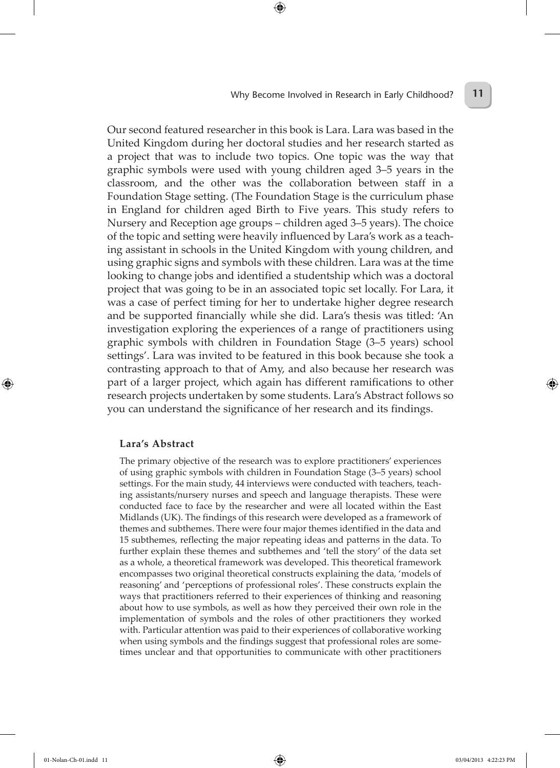# Why Become Involved in Research in Early Childhood? **11**

Our second featured researcher in this book is Lara. Lara was based in the United Kingdom during her doctoral studies and her research started as a project that was to include two topics. One topic was the way that graphic symbols were used with young children aged 3–5 years in the classroom, and the other was the collaboration between staff in a Foundation Stage setting. (The Foundation Stage is the curriculum phase in England for children aged Birth to Five years. This study refers to Nursery and Reception age groups – children aged 3–5 years). The choice of the topic and setting were heavily influenced by Lara's work as a teaching assistant in schools in the United Kingdom with young children, and using graphic signs and symbols with these children. Lara was at the time looking to change jobs and identified a studentship which was a doctoral project that was going to be in an associated topic set locally. For Lara, it was a case of perfect timing for her to undertake higher degree research and be supported financially while she did. Lara's thesis was titled: 'An investigation exploring the experiences of a range of practitioners using graphic symbols with children in Foundation Stage (3–5 years) school settings'. Lara was invited to be featured in this book because she took a contrasting approach to that of Amy, and also because her research was part of a larger project, which again has different ramifications to other research projects undertaken by some students. Lara's Abstract follows so you can understand the significance of her research and its findings.

⊕

#### **Lara's Abstract**

The primary objective of the research was to explore practitioners' experiences of using graphic symbols with children in Foundation Stage (3–5 years) school settings. For the main study, 44 interviews were conducted with teachers, teaching assistants/nursery nurses and speech and language therapists. These were conducted face to face by the researcher and were all located within the East Midlands (UK). The findings of this research were developed as a framework of themes and subthemes. There were four major themes identified in the data and 15 subthemes, reflecting the major repeating ideas and patterns in the data. To further explain these themes and subthemes and 'tell the story' of the data set as a whole, a theoretical framework was developed. This theoretical framework encompasses two original theoretical constructs explaining the data, 'models of reasoning' and 'perceptions of professional roles'. These constructs explain the ways that practitioners referred to their experiences of thinking and reasoning about how to use symbols, as well as how they perceived their own role in the implementation of symbols and the roles of other practitioners they worked with. Particular attention was paid to their experiences of collaborative working when using symbols and the findings suggest that professional roles are sometimes unclear and that opportunities to communicate with other practitioners